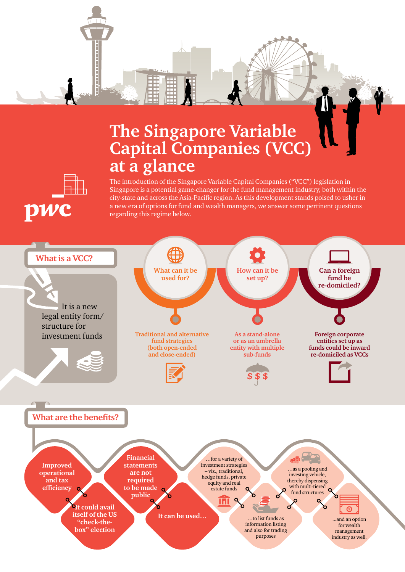

# **The Singapore Variable Capital Companies (VCC) at a glance**



The introduction of the Singapore Variable Capital Companies ("VCC") legislation in Singapore is a potential game-changer for the fund management industry, both within the city-state and across the Asia-Pacific region. As this development stands poised to usher in a new era of options for fund and wealth managers, we answer some pertinent questions regarding this regime below.

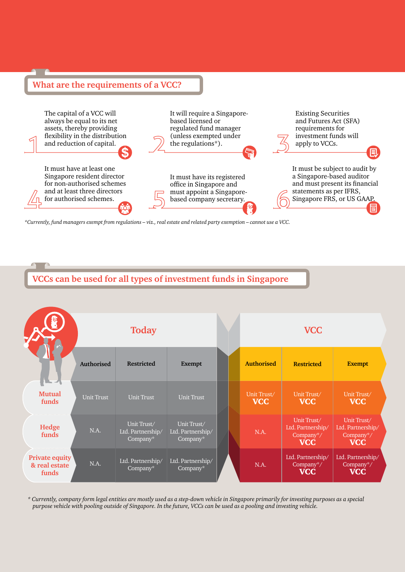#### **What are the requirements of a VCC?**



*\*Currently, fund managers exempt from regulations – viz., real estate and related party exemption – cannot use a VCC.*

### **VCCs can be used for all types of investment funds in Singapore**

|                                                 |                   | <b>Today</b>                                 |                                              |  |                           | <b>VCC</b>                                                  |                                                             |
|-------------------------------------------------|-------------------|----------------------------------------------|----------------------------------------------|--|---------------------------|-------------------------------------------------------------|-------------------------------------------------------------|
|                                                 | <b>Authorised</b> | <b>Restricted</b>                            | <b>Exempt</b>                                |  | <b>Authorised</b>         | <b>Restricted</b>                                           | <b>Exempt</b>                                               |
| <b>Mutual</b><br>funds                          | <b>Unit Trust</b> | <b>Unit Trust</b>                            | <b>Unit Trust</b>                            |  | Unit Trust/<br><b>VCC</b> | Unit Trust/<br><b>VCC</b>                                   | Unit Trust/<br><b>VCC</b>                                   |
| Hedge<br>funds                                  | N.A.              | Unit Trust/<br>Ltd. Partnership/<br>Company* | Unit Trust/<br>Ltd. Partnership/<br>Company* |  | N.A.                      | Unit Trust/<br>Ltd. Partnership/<br>Company*/<br><b>VCC</b> | Unit Trust/<br>Ltd. Partnership/<br>Company*/<br><b>VCC</b> |
| <b>Private equity</b><br>& real estate<br>funds | N.A.              | Ltd. Partnership/<br>Company*                | Ltd. Partnership/<br>Company*                |  | N.A.                      | Ltd. Partnership/<br>Company*/<br><b>VCC</b>                | Ltd. Partnership/<br>Company*/<br><b>VCC</b>                |

*\* Currently, company form legal entities are mostly used as a step-down vehicle in Singapore primarily for investing purposes as a special purpose vehicle with pooling outside of Singapore. In the future, VCCs can be used as a pooling and investing vehicle.*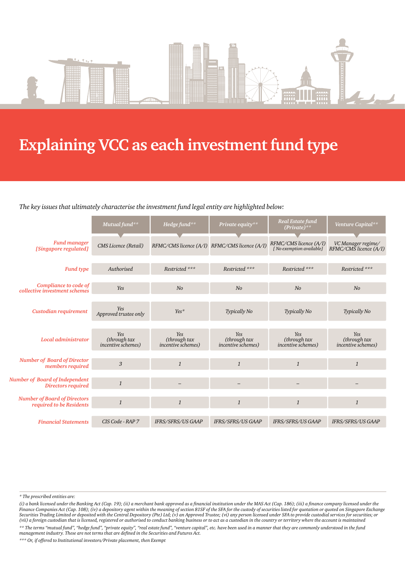

# **Explaining VCC as each investment fund type**

#### *The key issues that ultimately characterise the investment fund legal entity are highlighted below:*

|                                                                 | Mutual fund**                                     | Hedge fund**                                      | Private equity**                                  | <b>Real Estate fund</b><br>$(Private)^{**}$         | Venture Capital**                                 |
|-----------------------------------------------------------------|---------------------------------------------------|---------------------------------------------------|---------------------------------------------------|-----------------------------------------------------|---------------------------------------------------|
| <b>Fund manager</b><br>[Singapore regulated]                    | CMS Licence (Retail)                              | RFMC/CMS licence (A/I) RFMC/CMS licence (A/I)     |                                                   | RFMC/CMS licence (A/I)<br>[ No exemption available] | VC Manager regime/<br>RFMC/CMS licence (A/I)      |
| <b>Fund type</b>                                                | Authorised                                        | Restricted ***                                    | Restricted ***                                    | Restricted ***                                      | Restricted ***                                    |
| Compliance to code of<br>collective investment schemes          | Yes                                               | No                                                | N <sub>o</sub>                                    | N <sub>o</sub>                                      | N <sub>o</sub>                                    |
| Custodian requirement                                           | <b>Yes</b><br>Approved trustee only               | Yes*                                              | <b>Typically No</b>                               | Typically No                                        | <b>Typically No</b>                               |
| Local administrator                                             | Yes<br>(through tax<br><i>incentive schemes</i> ) | Yes<br>(through tax<br><i>incentive schemes</i> ) | Yes<br>(through tax<br><i>incentive schemes</i> ) | Yes<br>(through tax<br><i>incentive schemes</i> )   | Yes<br>(through tax<br><i>incentive schemes</i> ) |
| <b>Number of Board of Director</b><br>members required          | 3                                                 | $\mathbf{1}$                                      | $\mathbf{1}$                                      | $\mathbf{1}$                                        | $\mathbf{1}$                                      |
| Number of Board of Independent<br><b>Directors required</b>     | $\mathbf{1}$                                      |                                                   |                                                   |                                                     |                                                   |
| <b>Number of Board of Directors</b><br>required to be Residents | $\mathbf{1}$                                      | $\mathbf{1}$                                      | $\mathcal{I}$                                     | $\mathbf{1}$                                        | $\mathbf{1}$                                      |
| <b>Financial Statements</b>                                     | CIS Code - RAP 7                                  | IFRS/SFRS/US GAAP                                 | IFRS/SFRS/US GAAP                                 | IFRS/SFRS/US GAAP                                   | IFRS/SFRS/US GAAP                                 |

*\*\*\* Or, if offered to Institutional investors/Private placement, then Exempt*

*<sup>\*</sup> The prescribed entities are:*

*<sup>(</sup>i) a bank licensed under the Banking Act (Cap. 19); (ii) a merchant bank approved as a financial institution under the MAS Act (Cap. 186); (iii) a finance company licensed under the Finance Companies Act (Cap. 108); (iv) a depository agent within the meaning of section 81SF of the SFA for the custody of securities listed for quotation or quoted on Singapore Exchange*  Securities Trading Limited or deposited with the Central Depository (Pte) Ltd; (v) an Approved Trustee; (vi) any person licensed under SFA to provide custodial services for securities; or *(vii) a foreign custodian that is licensed, registered or authorised to conduct banking business or to act as a custodian in the country or territory where the account is maintained \*\* The terms "mutual fund", "hedge fund", "private equity", "real estate fund", "venture capital", etc. have been used in a manner that they are commonly understood in the fund management industry. These are not terms that are defined in the Securities and Futures Act.*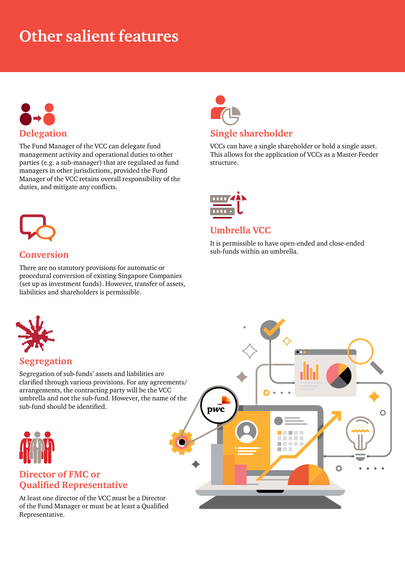# **Other salient features**



The Fund Manager of the VCC can delegate fund management activity and operational duties to other parties (e.g. a sub-manager) that are regulated as fund managers in other jurisdictions, provided the Fund Manager of the VCC retains overall responsibility of the duties, and mitigate any conflicts.



### **Single shareholder**

VCCs can have a single shareholder or hold a single asset. This allows for the application of VCCs as a Master-Feeder structure.



### **Umbrella VCC**

It is permissible to have open-ended and close-ended sub-funds within an umbrella.



### **Conversion**

There are no statutory provisions for automatic or procedural conversion of existing Singapore Companies (set up as investment funds). However, transfer of assets, liabilities and shareholders is permissible.

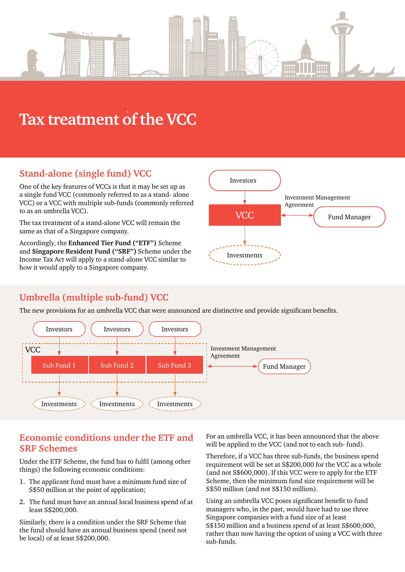

# **Tax treatment of the VCC**

# **Stand-alone (single fund) VCC**

One of the key features of VCCs is that it may be set up as a single fund VCC (commonly referred to as a stand- alone VCC) or a VCC with multiple sub-funds (commonly referred to as an umbrella VCC).

The tax treatment of a stand-alone VCC will remain the same as that of a Singapore company.

Accordingly, the **Enhanced Tier Fund ("ETF")** Scheme and **Singapore Resident Fund ("SRF")** Scheme under the Income Tax Act will apply to a stand-alone VCC similar to how it would apply to a Singapore company.



# **Umbrella (multiple sub-fund) VCC**

The new provisions for an umbrella VCC that were announced are distinctive and provide significant benefits.



#### **Economic conditions under the ETF and SRF Schemes**

Under the ETF Scheme, the fund has to fulfil (among other things) the following economic conditions:

- 1. The applicant fund must have a minimum fund size of S\$50 million at the point of application;
- 2. The fund must have an annual local business spend of at least S\$200,000.

Similarly, there is a condition under the SRF Scheme that the fund should have an annual business spend (need not be local) of at least S\$200,000.

For an umbrella VCC, it has been announced that the above will be applied to the VCC (and not to each sub- fund).

Therefore, if a VCC has three sub-funds, the business spend requirement will be set at S\$200,000 for the VCC as a whole (and not S\$600,000). If this VCC were to apply for the ETF Scheme, then the minimum fund size requirement will be S\$50 million (and not S\$150 million).

Using an umbrella VCC poses significant benefit to fund managers who, in the past, would have had to use three Singapore companies with a fund size of at least S\$150 million and a business spend of at least S\$600,000, rather than now having the option of using a VCC with three sub-funds.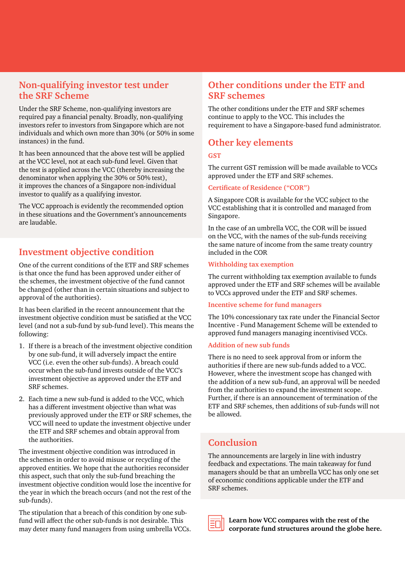## **Non-qualifying investor test under the SRF Scheme**

Under the SRF Scheme, non-qualifying investors are required pay a financial penalty. Broadly, non-qualifying investors refer to investors from Singapore which are not individuals and which own more than 30% (or 50% in some instances) in the fund.

It has been announced that the above test will be applied at the VCC level, not at each sub-fund level. Given that the test is applied across the VCC (thereby increasing the denominator when applying the 30% or 50% test), it improves the chances of a Singapore non-individual investor to qualify as a qualifying investor.

The VCC approach is evidently the recommended option in these situations and the Government's announcements are laudable.

### **Investment objective condition**

One of the current conditions of the ETF and SRF schemes is that once the fund has been approved under either of the schemes, the investment objective of the fund cannot be changed (other than in certain situations and subject to approval of the authorities).

It has been clarified in the recent announcement that the investment objective condition must be satisfied at the VCC level (and not a sub-fund by sub-fund level). This means the following:

- 1. If there is a breach of the investment objective condition by one sub-fund, it will adversely impact the entire VCC (i.e. even the other sub-funds). A breach could occur when the sub-fund invests outside of the VCC's investment objective as approved under the ETF and SRF schemes.
- 2. Each time a new sub-fund is added to the VCC, which has a different investment objective than what was previously approved under the ETF or SRF schemes, the VCC will need to update the investment objective under the ETF and SRF schemes and obtain approval from the authorities.

The investment objective condition was introduced in the schemes in order to avoid misuse or recycling of the approved entities. We hope that the authorities reconsider this aspect, such that only the sub-fund breaching the investment objective condition would lose the incentive for the year in which the breach occurs (and not the rest of the sub-funds).

The stipulation that a breach of this condition by one subfund will affect the other sub-funds is not desirable. This may deter many fund managers from using umbrella VCCs.

# **Other conditions under the ETF and SRF schemes**

The other conditions under the ETF and SRF schemes continue to apply to the VCC. This includes the requirement to have a Singapore-based fund administrator.

# **Other key elements**

#### **GST**

The current GST remission will be made available to VCCs approved under the ETF and SRF schemes.

#### **Certificate of Residence ("COR")**

A Singapore COR is available for the VCC subject to the VCC establishing that it is controlled and managed from Singapore.

In the case of an umbrella VCC, the COR will be issued on the VCC, with the names of the sub-funds receiving the same nature of income from the same treaty country included in the COR

#### **Withholding tax exemption**

The current withholding tax exemption available to funds approved under the ETF and SRF schemes will be available to VCCs approved under the ETF and SRF schemes.

#### **Incentive scheme for fund managers**

The 10% concessionary tax rate under the Financial Sector Incentive - Fund Management Scheme will be extended to approved fund managers managing incentivised VCCs.

#### **Addition of new sub funds**

There is no need to seek approval from or inform the authorities if there are new sub-funds added to a VCC. However, where the investment scope has changed with the addition of a new sub-fund, an approval will be needed from the authorities to expand the investment scope. Further, if there is an announcement of termination of the ETF and SRF schemes, then additions of sub-funds will not be allowed.

#### **Conclusion**

The announcements are largely in line with industry feedback and expectations. The main takeaway for fund managers should be that an umbrella VCC has only one set of economic conditions applicable under the ETF and SRF schemes.

| ______<br>______<br>______ |  |  |
|----------------------------|--|--|
|                            |  |  |
|                            |  |  |
| ______                     |  |  |

**Learn how VCC compares with the rest of the [corporate fund structures around the globe here.](https://www.pwc.com/sg/en/asset-management/assets/svacc/svcc-comparatives-201908.pdf)**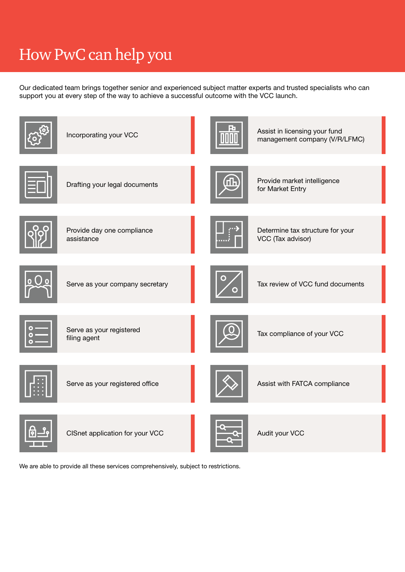# How PwC can help you

Our dedicated team brings together senior and experienced subject matter experts and trusted specialists who can support you at every step of the way to achieve a successful outcome with the VCC launch.



We are able to provide all these services comprehensively, subject to restrictions.